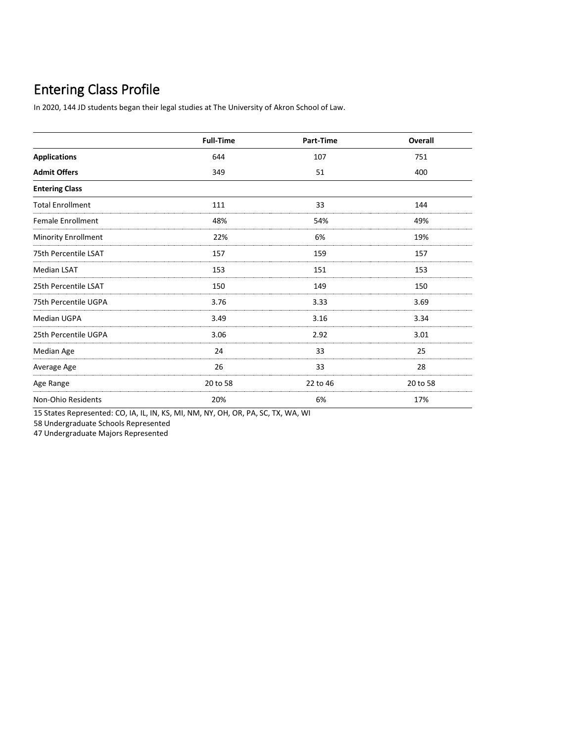In 2020, 144 JD students began their legal studies at The University of Akron School of Law.

|                          | <b>Full-Time</b> | Part-Time | Overall  |
|--------------------------|------------------|-----------|----------|
| <b>Applications</b>      | 644              | 107       | 751      |
| <b>Admit Offers</b>      | 349              | 51        | 400      |
| <b>Entering Class</b>    |                  |           |          |
| <b>Total Enrollment</b>  | 111              | 33        | 144      |
| <b>Female Enrollment</b> | 48%              | 54%       | 49%      |
| Minority Enrollment      | 22%              | 6%        | 19%      |
| 75th Percentile LSAT     | 157              | 159       | 157      |
| <b>Median LSAT</b>       | 153              | 151       | 153      |
| 25th Percentile LSAT     | 150              | 149       | 150      |
| 75th Percentile UGPA     | 3.76             | 3.33      | 3.69     |
| <b>Median UGPA</b>       | 3.49             | 3.16      | 3.34     |
| 25th Percentile UGPA     | 3.06             | 2.92      | 3.01     |
| Median Age               | 24               | 33        | 25       |
| Average Age              | 26               | 33        | 28       |
| Age Range                | 20 to 58         | 22 to 46  | 20 to 58 |
| Non-Ohio Residents       | 20%              | 6%        | 17%      |

15 States Represented: CO, IA, IL, IN, KS, MI, NM, NY, OH, OR, PA, SC, TX, WA, WI

58 Undergraduate Schools Represented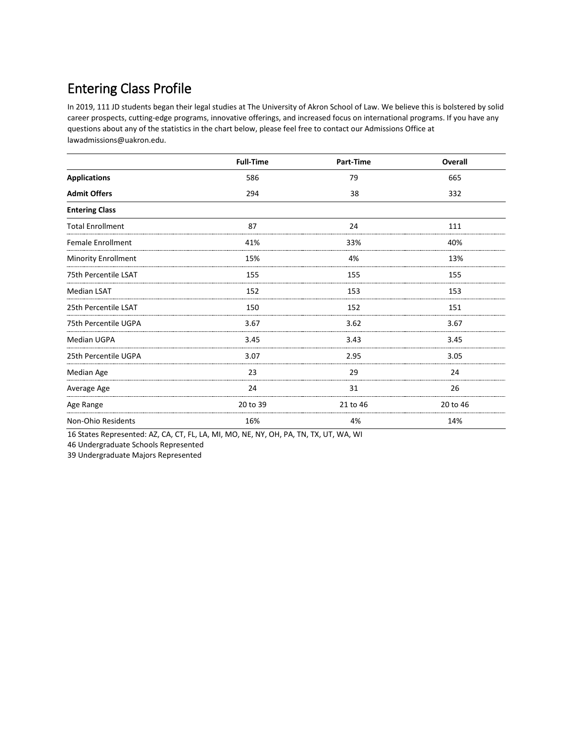In 2019, 111 JD students began their legal studies at The University of Akron School of Law. We believe this is bolstered by solid career prospects, cutting-edge programs, innovative offerings, and increased focus on international programs. If you have any questions about any of the statistics in the chart below, please feel free to contact our Admissions Office at lawadmissions@uakron.edu.

|                            | <b>Full-Time</b> | Part-Time | Overall  |
|----------------------------|------------------|-----------|----------|
| <b>Applications</b>        | 586              | 79        | 665      |
| <b>Admit Offers</b>        | 294              | 38        | 332      |
| <b>Entering Class</b>      |                  |           |          |
| <b>Total Enrollment</b>    | 87               | 24        | 111      |
| <b>Female Enrollment</b>   | 41%              | 33%       | 40%      |
| <b>Minority Enrollment</b> | 15%              | 4%        | 13%      |
| 75th Percentile LSAT       | 155              | 155       | 155      |
| <b>Median LSAT</b>         | 152              | 153       | 153      |
| 25th Percentile LSAT       | 150              | 152       | 151      |
| 75th Percentile UGPA       | 3.67             | 3.62      | 3.67     |
| <b>Median UGPA</b>         | 3.45             | 3.43      | 3.45     |
| 25th Percentile UGPA       | 3.07             | 2.95      | 3.05     |
| Median Age                 | 23               | 29        | 24       |
| Average Age                | 24               | 31        | 26       |
| Age Range                  | 20 to 39         | 21 to 46  | 20 to 46 |
| Non-Ohio Residents         | 16%              | 4%        | 14%      |

16 States Represented: AZ, CA, CT, FL, LA, MI, MO, NE, NY, OH, PA, TN, TX, UT, WA, WI

46 Undergraduate Schools Represented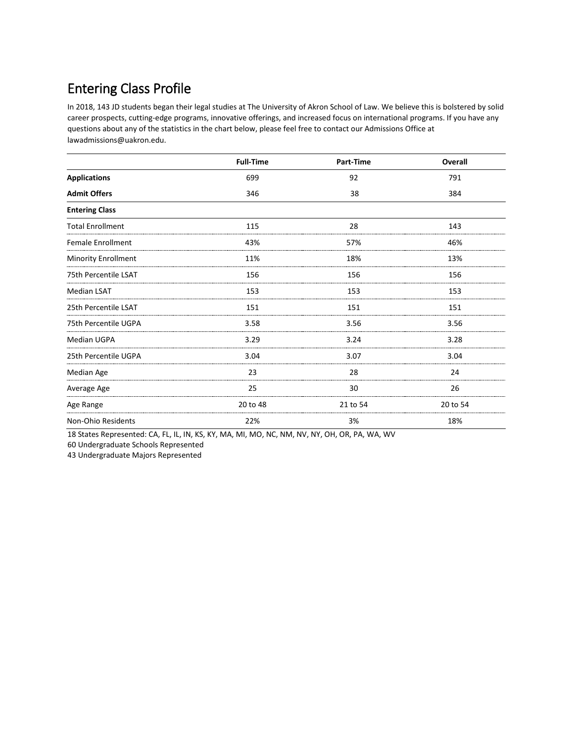In 2018, 143 JD students began their legal studies at The University of Akron School of Law. We believe this is bolstered by solid career prospects, cutting-edge programs, innovative offerings, and increased focus on international programs. If you have any questions about any of the statistics in the chart below, please feel free to contact our Admissions Office at lawadmissions@uakron.edu.

|                            | <b>Full-Time</b> | Part-Time | Overall  |
|----------------------------|------------------|-----------|----------|
| <b>Applications</b>        | 699              | 92        | 791      |
| <b>Admit Offers</b>        | 346              | 38        | 384      |
| <b>Entering Class</b>      |                  |           |          |
| <b>Total Enrollment</b>    | 115              | 28        | 143      |
| <b>Female Enrollment</b>   | 43%              | 57%       | 46%      |
| <b>Minority Enrollment</b> | 11%              | 18%       | 13%      |
| 75th Percentile LSAT       | 156              | 156       | 156      |
| <b>Median LSAT</b>         | 153              | 153       | 153      |
| 25th Percentile LSAT       | 151              | 151       | 151      |
| 75th Percentile UGPA       | 3.58             | 3.56      | 3.56     |
| <b>Median UGPA</b>         | 3.29             | 3.24      | 3.28     |
| 25th Percentile UGPA       | 3.04             | 3.07      | 3.04     |
| Median Age                 | 23               | 28        | 24       |
| Average Age                | 25               | 30        | 26       |
| Age Range                  | 20 to 48         | 21 to 54  | 20 to 54 |
| Non-Ohio Residents         | 22%              | 3%        | 18%      |

18 States Represented: CA, FL, IL, IN, KS, KY, MA, MI, MO, NC, NM, NV, NY, OH, OR, PA, WA, WV

60 Undergraduate Schools Represented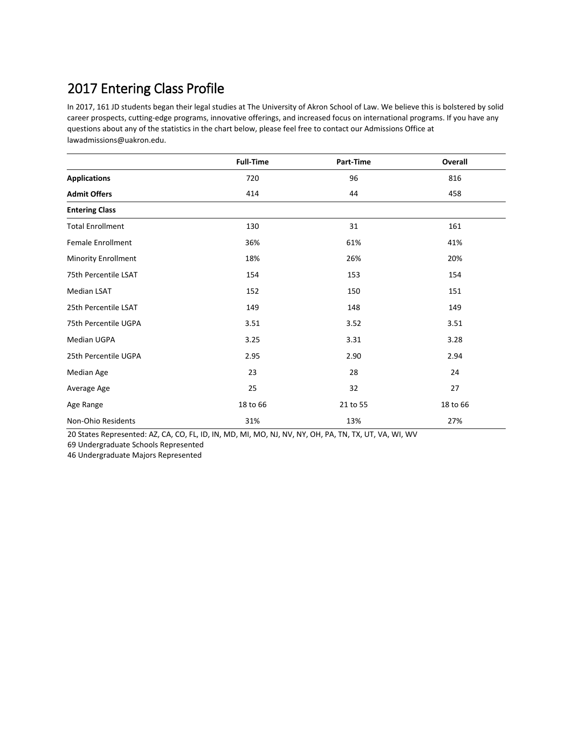In 2017, 161 JD students began their legal studies at The University of Akron School of Law. We believe this is bolstered by solid career prospects, cutting-edge programs, innovative offerings, and increased focus on international programs. If you have any questions about any of the statistics in the chart below, please feel free to contact our Admissions Office at lawadmissions@uakron.edu.

|                            | <b>Full-Time</b> | Part-Time | Overall  |
|----------------------------|------------------|-----------|----------|
| <b>Applications</b>        | 720              | 96        | 816      |
| <b>Admit Offers</b>        | 414              | 44        | 458      |
| <b>Entering Class</b>      |                  |           |          |
| <b>Total Enrollment</b>    | 130              | 31        | 161      |
| <b>Female Enrollment</b>   | 36%              | 61%       | 41%      |
| <b>Minority Enrollment</b> | 18%              | 26%       | 20%      |
| 75th Percentile LSAT       | 154              | 153       | 154      |
| <b>Median LSAT</b>         | 152              | 150       | 151      |
| 25th Percentile LSAT       | 149              | 148       | 149      |
| 75th Percentile UGPA       | 3.51             | 3.52      | 3.51     |
| <b>Median UGPA</b>         | 3.25             | 3.31      | 3.28     |
| 25th Percentile UGPA       | 2.95             | 2.90      | 2.94     |
| Median Age                 | 23               | 28        | 24       |
| Average Age                | 25               | 32        | 27       |
| Age Range                  | 18 to 66         | 21 to 55  | 18 to 66 |
| Non-Ohio Residents         | 31%              | 13%       | 27%      |

20 States Represented: AZ, CA, CO, FL, ID, IN, MD, MI, MO, NJ, NV, NY, OH, PA, TN, TX, UT, VA, WI, WV 69 Undergraduate Schools Represented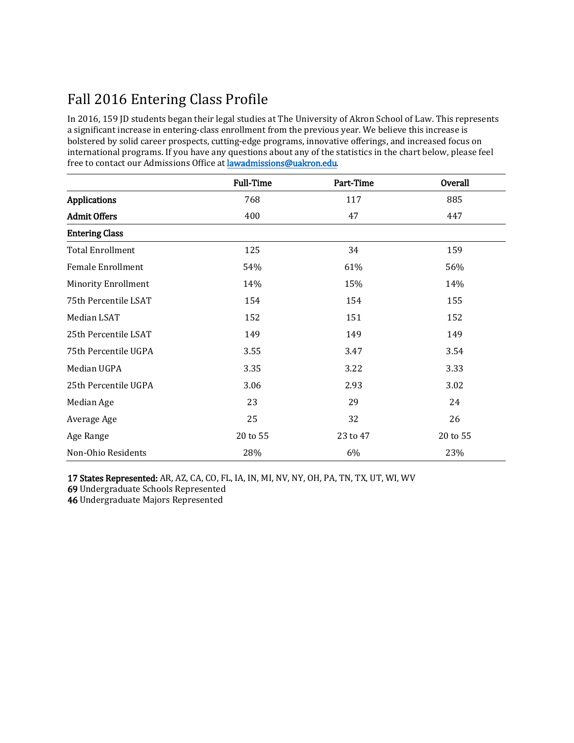# Fall 2016 Entering Class Profile

In 2016, 159 JD students began their legal studies at The University of Akron School of Law. This represents a significant increase in entering-class enrollment from the previous year. We believe this increase is bolstered by solid career prospects, cutting-edge programs, innovative offerings, and increased focus on international programs. If you have any questions about any of the statistics in the chart below, please feel free to contact our Admissions Office [at lawadmission](mailto:lawadmissions@uakron.edu)s@uakron.edu.

|                            | <b>Full-Time</b> | Part-Time | <b>Overall</b> |
|----------------------------|------------------|-----------|----------------|
| <b>Applications</b>        | 768              | 117       | 885            |
| <b>Admit Offers</b>        | 400              | 47        | 447            |
| <b>Entering Class</b>      |                  |           |                |
| <b>Total Enrollment</b>    | 125              | 34        | 159            |
| <b>Female Enrollment</b>   | 54%              | 61%       | 56%            |
| <b>Minority Enrollment</b> | 14%              | 15%       | 14%            |
| 75th Percentile LSAT       | 154              | 154       | 155            |
| Median LSAT                | 152              | 151       | 152            |
| 25th Percentile LSAT       | 149              | 149       | 149            |
| 75th Percentile UGPA       | 3.55             | 3.47      | 3.54           |
| Median UGPA                | 3.35             | 3.22      | 3.33           |
| 25th Percentile UGPA       | 3.06             | 2.93      | 3.02           |
| Median Age                 | 23               | 29        | 24             |
| Average Age                | 25               | 32        | 26             |
| Age Range                  | 20 to 55         | 23 to 47  | 20 to 55       |
| Non-Ohio Residents         | 28%              | 6%        | 23%            |

17 States Represented: AR, AZ, CA, CO, FL, IA, IN, MI, NV, NY, OH, PA, TN, TX, UT, WI, WV

69 Undergraduate Schools Represented